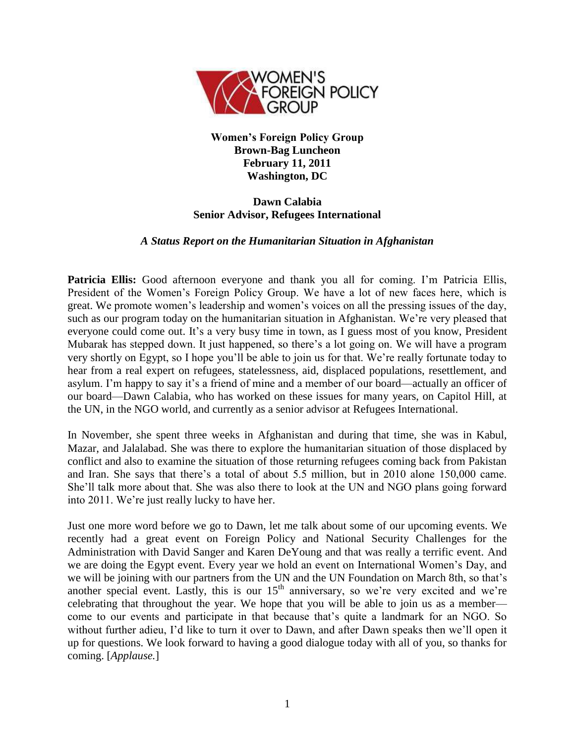

**Women's Foreign Policy Group Brown-Bag Luncheon February 11, 2011 Washington, DC**

## **Dawn Calabia Senior Advisor, Refugees International**

## *A Status Report on the Humanitarian Situation in Afghanistan*

**Patricia Ellis:** Good afternoon everyone and thank you all for coming. I'm Patricia Ellis, President of the Women's Foreign Policy Group. We have a lot of new faces here, which is great. We promote women's leadership and women's voices on all the pressing issues of the day, such as our program today on the humanitarian situation in Afghanistan. We're very pleased that everyone could come out. It's a very busy time in town, as I guess most of you know, President Mubarak has stepped down. It just happened, so there's a lot going on. We will have a program very shortly on Egypt, so I hope you'll be able to join us for that. We're really fortunate today to hear from a real expert on refugees, statelessness, aid, displaced populations, resettlement, and asylum. I'm happy to say it's a friend of mine and a member of our board—actually an officer of our board—Dawn Calabia, who has worked on these issues for many years, on Capitol Hill, at the UN, in the NGO world, and currently as a senior advisor at Refugees International.

In November, she spent three weeks in Afghanistan and during that time, she was in Kabul, Mazar, and Jalalabad. She was there to explore the humanitarian situation of those displaced by conflict and also to examine the situation of those returning refugees coming back from Pakistan and Iran. She says that there's a total of about 5.5 million, but in 2010 alone 150,000 came. She'll talk more about that. She was also there to look at the UN and NGO plans going forward into 2011. We're just really lucky to have her.

Just one more word before we go to Dawn, let me talk about some of our upcoming events. We recently had a great event on Foreign Policy and National Security Challenges for the Administration with David Sanger and Karen DeYoung and that was really a terrific event. And we are doing the Egypt event. Every year we hold an event on International Women's Day, and we will be joining with our partners from the UN and the UN Foundation on March 8th, so that's another special event. Lastly, this is our  $15<sup>th</sup>$  anniversary, so we're very excited and we're celebrating that throughout the year. We hope that you will be able to join us as a member come to our events and participate in that because that's quite a landmark for an NGO. So without further adieu, I'd like to turn it over to Dawn, and after Dawn speaks then we'll open it up for questions. We look forward to having a good dialogue today with all of you, so thanks for coming. [*Applause.*]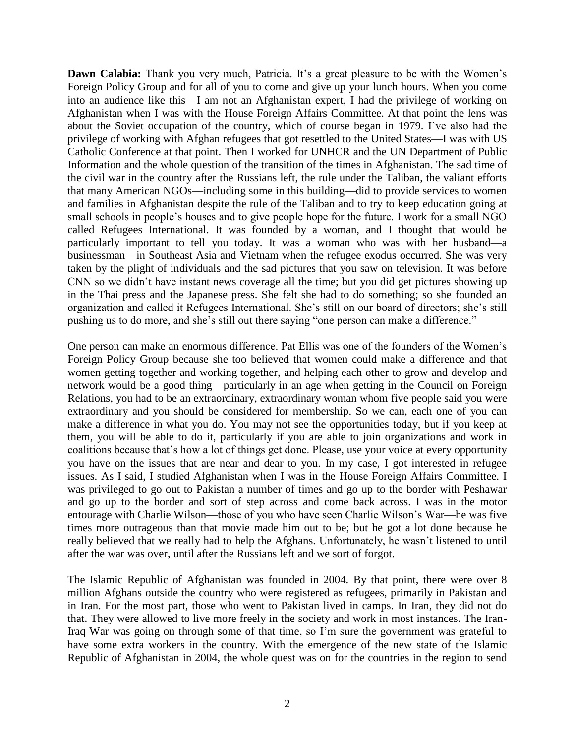**Dawn Calabia:** Thank you very much, Patricia. It's a great pleasure to be with the Women's Foreign Policy Group and for all of you to come and give up your lunch hours. When you come into an audience like this—I am not an Afghanistan expert, I had the privilege of working on Afghanistan when I was with the House Foreign Affairs Committee. At that point the lens was about the Soviet occupation of the country, which of course began in 1979. I've also had the privilege of working with Afghan refugees that got resettled to the United States—I was with US Catholic Conference at that point. Then I worked for UNHCR and the UN Department of Public Information and the whole question of the transition of the times in Afghanistan. The sad time of the civil war in the country after the Russians left, the rule under the Taliban, the valiant efforts that many American NGOs—including some in this building—did to provide services to women and families in Afghanistan despite the rule of the Taliban and to try to keep education going at small schools in people's houses and to give people hope for the future. I work for a small NGO called Refugees International. It was founded by a woman, and I thought that would be particularly important to tell you today. It was a woman who was with her husband—a businessman—in Southeast Asia and Vietnam when the refugee exodus occurred. She was very taken by the plight of individuals and the sad pictures that you saw on television. It was before CNN so we didn't have instant news coverage all the time; but you did get pictures showing up in the Thai press and the Japanese press. She felt she had to do something; so she founded an organization and called it Refugees International. She's still on our board of directors; she's still pushing us to do more, and she's still out there saying "one person can make a difference."

One person can make an enormous difference. Pat Ellis was one of the founders of the Women's Foreign Policy Group because she too believed that women could make a difference and that women getting together and working together, and helping each other to grow and develop and network would be a good thing—particularly in an age when getting in the Council on Foreign Relations, you had to be an extraordinary, extraordinary woman whom five people said you were extraordinary and you should be considered for membership. So we can, each one of you can make a difference in what you do. You may not see the opportunities today, but if you keep at them, you will be able to do it, particularly if you are able to join organizations and work in coalitions because that's how a lot of things get done. Please, use your voice at every opportunity you have on the issues that are near and dear to you. In my case, I got interested in refugee issues. As I said, I studied Afghanistan when I was in the House Foreign Affairs Committee. I was privileged to go out to Pakistan a number of times and go up to the border with Peshawar and go up to the border and sort of step across and come back across. I was in the motor entourage with Charlie Wilson—those of you who have seen Charlie Wilson's War—he was five times more outrageous than that movie made him out to be; but he got a lot done because he really believed that we really had to help the Afghans. Unfortunately, he wasn't listened to until after the war was over, until after the Russians left and we sort of forgot.

The Islamic Republic of Afghanistan was founded in 2004. By that point, there were over 8 million Afghans outside the country who were registered as refugees, primarily in Pakistan and in Iran. For the most part, those who went to Pakistan lived in camps. In Iran, they did not do that. They were allowed to live more freely in the society and work in most instances. The Iran-Iraq War was going on through some of that time, so I'm sure the government was grateful to have some extra workers in the country. With the emergence of the new state of the Islamic Republic of Afghanistan in 2004, the whole quest was on for the countries in the region to send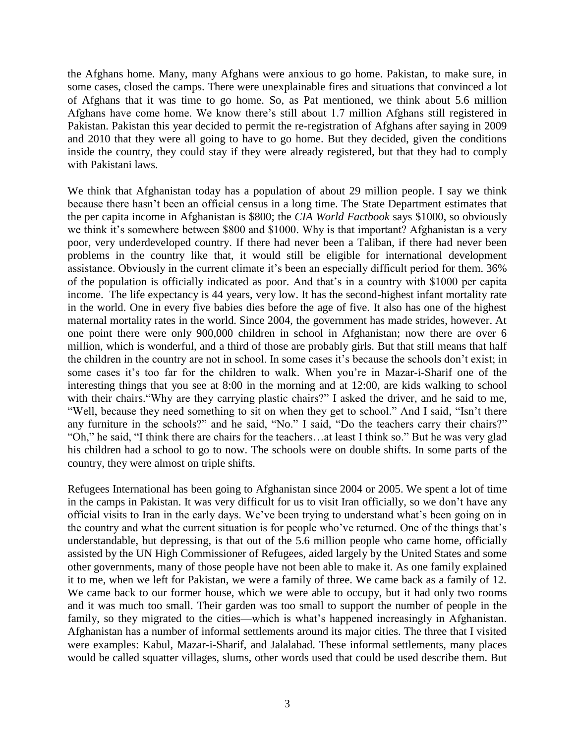the Afghans home. Many, many Afghans were anxious to go home. Pakistan, to make sure, in some cases, closed the camps. There were unexplainable fires and situations that convinced a lot of Afghans that it was time to go home. So, as Pat mentioned, we think about 5.6 million Afghans have come home. We know there's still about 1.7 million Afghans still registered in Pakistan. Pakistan this year decided to permit the re-registration of Afghans after saying in 2009 and 2010 that they were all going to have to go home. But they decided, given the conditions inside the country, they could stay if they were already registered, but that they had to comply with Pakistani laws.

We think that Afghanistan today has a population of about 29 million people. I say we think because there hasn't been an official census in a long time. The State Department estimates that the per capita income in Afghanistan is \$800; the *CIA World Factbook* says \$1000, so obviously we think it's somewhere between \$800 and \$1000. Why is that important? Afghanistan is a very poor, very underdeveloped country. If there had never been a Taliban, if there had never been problems in the country like that, it would still be eligible for international development assistance. Obviously in the current climate it's been an especially difficult period for them. 36% of the population is officially indicated as poor. And that's in a country with \$1000 per capita income. The life expectancy is 44 years, very low. It has the second-highest infant mortality rate in the world. One in every five babies dies before the age of five. It also has one of the highest maternal mortality rates in the world. Since 2004, the government has made strides, however. At one point there were only 900,000 children in school in Afghanistan; now there are over 6 million, which is wonderful, and a third of those are probably girls. But that still means that half the children in the country are not in school. In some cases it's because the schools don't exist; in some cases it's too far for the children to walk. When you're in Mazar-i-Sharif one of the interesting things that you see at 8:00 in the morning and at 12:00, are kids walking to school with their chairs. "Why are they carrying plastic chairs?" I asked the driver, and he said to me, "Well, because they need something to sit on when they get to school." And I said, "Isn't there any furniture in the schools?" and he said, "No." I said, "Do the teachers carry their chairs?" "Oh," he said, "I think there are chairs for the teachers…at least I think so." But he was very glad his children had a school to go to now. The schools were on double shifts. In some parts of the country, they were almost on triple shifts.

Refugees International has been going to Afghanistan since 2004 or 2005. We spent a lot of time in the camps in Pakistan. It was very difficult for us to visit Iran officially, so we don't have any official visits to Iran in the early days. We've been trying to understand what's been going on in the country and what the current situation is for people who've returned. One of the things that's understandable, but depressing, is that out of the 5.6 million people who came home, officially assisted by the UN High Commissioner of Refugees, aided largely by the United States and some other governments, many of those people have not been able to make it. As one family explained it to me, when we left for Pakistan, we were a family of three. We came back as a family of 12. We came back to our former house, which we were able to occupy, but it had only two rooms and it was much too small. Their garden was too small to support the number of people in the family, so they migrated to the cities—which is what's happened increasingly in Afghanistan. Afghanistan has a number of informal settlements around its major cities. The three that I visited were examples: Kabul, Mazar-i-Sharif, and Jalalabad. These informal settlements, many places would be called squatter villages, slums, other words used that could be used describe them. But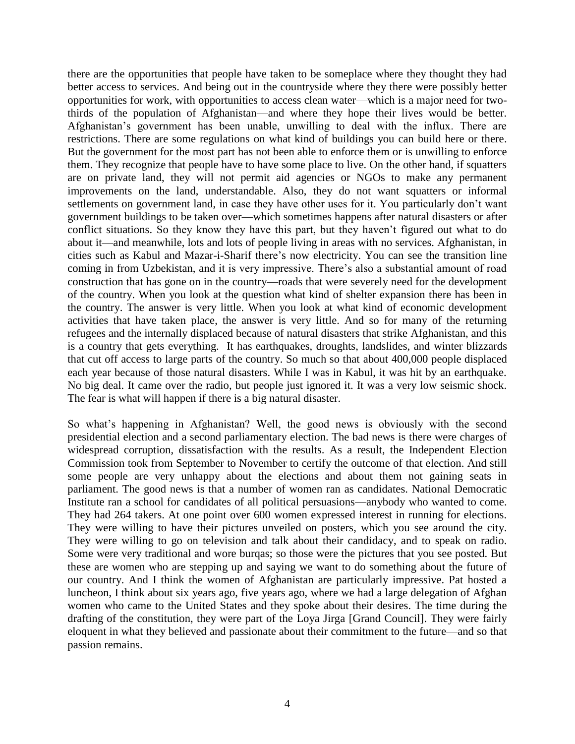there are the opportunities that people have taken to be someplace where they thought they had better access to services. And being out in the countryside where they there were possibly better opportunities for work, with opportunities to access clean water—which is a major need for twothirds of the population of Afghanistan—and where they hope their lives would be better. Afghanistan's government has been unable, unwilling to deal with the influx. There are restrictions. There are some regulations on what kind of buildings you can build here or there. But the government for the most part has not been able to enforce them or is unwilling to enforce them. They recognize that people have to have some place to live. On the other hand, if squatters are on private land, they will not permit aid agencies or NGOs to make any permanent improvements on the land, understandable. Also, they do not want squatters or informal settlements on government land, in case they have other uses for it. You particularly don't want government buildings to be taken over—which sometimes happens after natural disasters or after conflict situations. So they know they have this part, but they haven't figured out what to do about it—and meanwhile, lots and lots of people living in areas with no services. Afghanistan, in cities such as Kabul and Mazar-i-Sharif there's now electricity. You can see the transition line coming in from Uzbekistan, and it is very impressive. There's also a substantial amount of road construction that has gone on in the country—roads that were severely need for the development of the country. When you look at the question what kind of shelter expansion there has been in the country. The answer is very little. When you look at what kind of economic development activities that have taken place, the answer is very little. And so for many of the returning refugees and the internally displaced because of natural disasters that strike Afghanistan, and this is a country that gets everything. It has earthquakes, droughts, landslides, and winter blizzards that cut off access to large parts of the country. So much so that about 400,000 people displaced each year because of those natural disasters. While I was in Kabul, it was hit by an earthquake. No big deal. It came over the radio, but people just ignored it. It was a very low seismic shock. The fear is what will happen if there is a big natural disaster.

So what's happening in Afghanistan? Well, the good news is obviously with the second presidential election and a second parliamentary election. The bad news is there were charges of widespread corruption, dissatisfaction with the results. As a result, the Independent Election Commission took from September to November to certify the outcome of that election. And still some people are very unhappy about the elections and about them not gaining seats in parliament. The good news is that a number of women ran as candidates. National Democratic Institute ran a school for candidates of all political persuasions—anybody who wanted to come. They had 264 takers. At one point over 600 women expressed interest in running for elections. They were willing to have their pictures unveiled on posters, which you see around the city. They were willing to go on television and talk about their candidacy, and to speak on radio. Some were very traditional and wore burqas; so those were the pictures that you see posted. But these are women who are stepping up and saying we want to do something about the future of our country. And I think the women of Afghanistan are particularly impressive. Pat hosted a luncheon, I think about six years ago, five years ago, where we had a large delegation of Afghan women who came to the United States and they spoke about their desires. The time during the drafting of the constitution, they were part of the Loya Jirga [Grand Council]. They were fairly eloquent in what they believed and passionate about their commitment to the future—and so that passion remains.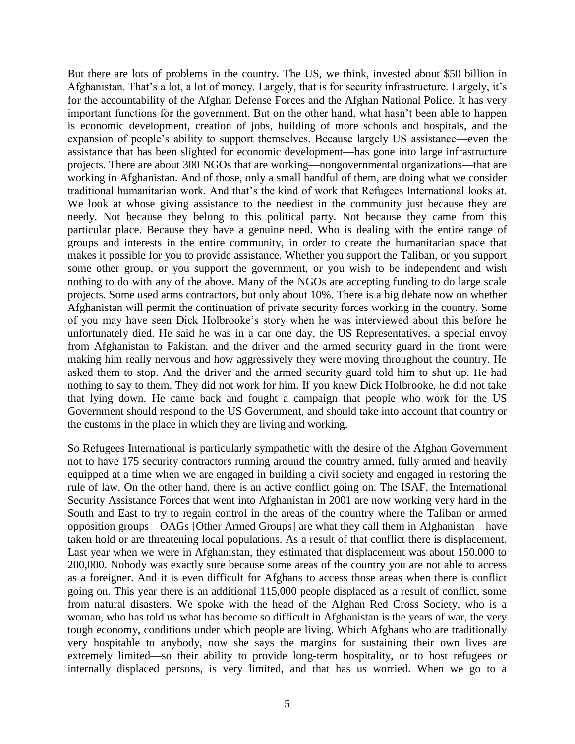But there are lots of problems in the country. The US, we think, invested about \$50 billion in Afghanistan. That's a lot, a lot of money. Largely, that is for security infrastructure. Largely, it's for the accountability of the Afghan Defense Forces and the Afghan National Police. It has very important functions for the government. But on the other hand, what hasn't been able to happen is economic development, creation of jobs, building of more schools and hospitals, and the expansion of people's ability to support themselves. Because largely US assistance—even the assistance that has been slighted for economic development—has gone into large infrastructure projects. There are about 300 NGOs that are working—nongovernmental organizations—that are working in Afghanistan. And of those, only a small handful of them, are doing what we consider traditional humanitarian work. And that's the kind of work that Refugees International looks at. We look at whose giving assistance to the neediest in the community just because they are needy. Not because they belong to this political party. Not because they came from this particular place. Because they have a genuine need. Who is dealing with the entire range of groups and interests in the entire community, in order to create the humanitarian space that makes it possible for you to provide assistance. Whether you support the Taliban, or you support some other group, or you support the government, or you wish to be independent and wish nothing to do with any of the above. Many of the NGOs are accepting funding to do large scale projects. Some used arms contractors, but only about 10%. There is a big debate now on whether Afghanistan will permit the continuation of private security forces working in the country. Some of you may have seen Dick Holbrooke's story when he was interviewed about this before he unfortunately died. He said he was in a car one day, the US Representatives, a special envoy from Afghanistan to Pakistan, and the driver and the armed security guard in the front were making him really nervous and how aggressively they were moving throughout the country. He asked them to stop. And the driver and the armed security guard told him to shut up. He had nothing to say to them. They did not work for him. If you knew Dick Holbrooke, he did not take that lying down. He came back and fought a campaign that people who work for the US Government should respond to the US Government, and should take into account that country or the customs in the place in which they are living and working.

So Refugees International is particularly sympathetic with the desire of the Afghan Government not to have 175 security contractors running around the country armed, fully armed and heavily equipped at a time when we are engaged in building a civil society and engaged in restoring the rule of law. On the other hand, there is an active conflict going on. The ISAF, the International Security Assistance Forces that went into Afghanistan in 2001 are now working very hard in the South and East to try to regain control in the areas of the country where the Taliban or armed opposition groups—OAGs [Other Armed Groups] are what they call them in Afghanistan—have taken hold or are threatening local populations. As a result of that conflict there is displacement. Last year when we were in Afghanistan, they estimated that displacement was about 150,000 to 200,000. Nobody was exactly sure because some areas of the country you are not able to access as a foreigner. And it is even difficult for Afghans to access those areas when there is conflict going on. This year there is an additional 115,000 people displaced as a result of conflict, some from natural disasters. We spoke with the head of the Afghan Red Cross Society, who is a woman, who has told us what has become so difficult in Afghanistan is the years of war, the very tough economy, conditions under which people are living. Which Afghans who are traditionally very hospitable to anybody, now she says the margins for sustaining their own lives are extremely limited—so their ability to provide long-term hospitality, or to host refugees or internally displaced persons, is very limited, and that has us worried. When we go to a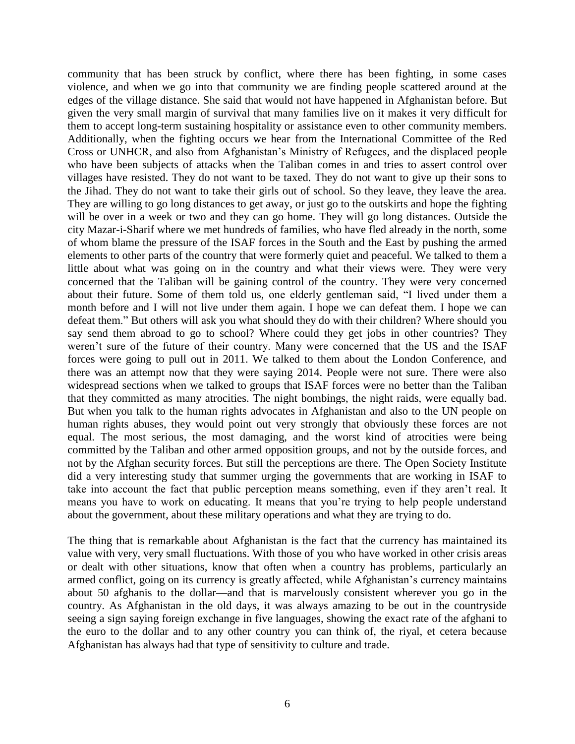community that has been struck by conflict, where there has been fighting, in some cases violence, and when we go into that community we are finding people scattered around at the edges of the village distance. She said that would not have happened in Afghanistan before. But given the very small margin of survival that many families live on it makes it very difficult for them to accept long-term sustaining hospitality or assistance even to other community members. Additionally, when the fighting occurs we hear from the International Committee of the Red Cross or UNHCR, and also from Afghanistan's Ministry of Refugees, and the displaced people who have been subjects of attacks when the Taliban comes in and tries to assert control over villages have resisted. They do not want to be taxed. They do not want to give up their sons to the Jihad. They do not want to take their girls out of school. So they leave, they leave the area. They are willing to go long distances to get away, or just go to the outskirts and hope the fighting will be over in a week or two and they can go home. They will go long distances. Outside the city Mazar-i-Sharif where we met hundreds of families, who have fled already in the north, some of whom blame the pressure of the ISAF forces in the South and the East by pushing the armed elements to other parts of the country that were formerly quiet and peaceful. We talked to them a little about what was going on in the country and what their views were. They were very concerned that the Taliban will be gaining control of the country. They were very concerned about their future. Some of them told us, one elderly gentleman said, "I lived under them a month before and I will not live under them again. I hope we can defeat them. I hope we can defeat them." But others will ask you what should they do with their children? Where should you say send them abroad to go to school? Where could they get jobs in other countries? They weren't sure of the future of their country. Many were concerned that the US and the ISAF forces were going to pull out in 2011. We talked to them about the London Conference, and there was an attempt now that they were saying 2014. People were not sure. There were also widespread sections when we talked to groups that ISAF forces were no better than the Taliban that they committed as many atrocities. The night bombings, the night raids, were equally bad. But when you talk to the human rights advocates in Afghanistan and also to the UN people on human rights abuses, they would point out very strongly that obviously these forces are not equal. The most serious, the most damaging, and the worst kind of atrocities were being committed by the Taliban and other armed opposition groups, and not by the outside forces, and not by the Afghan security forces. But still the perceptions are there. The Open Society Institute did a very interesting study that summer urging the governments that are working in ISAF to take into account the fact that public perception means something, even if they aren't real. It means you have to work on educating. It means that you're trying to help people understand about the government, about these military operations and what they are trying to do.

The thing that is remarkable about Afghanistan is the fact that the currency has maintained its value with very, very small fluctuations. With those of you who have worked in other crisis areas or dealt with other situations, know that often when a country has problems, particularly an armed conflict, going on its currency is greatly affected, while Afghanistan's currency maintains about 50 afghanis to the dollar—and that is marvelously consistent wherever you go in the country. As Afghanistan in the old days, it was always amazing to be out in the countryside seeing a sign saying foreign exchange in five languages, showing the exact rate of the afghani to the euro to the dollar and to any other country you can think of, the riyal, et cetera because Afghanistan has always had that type of sensitivity to culture and trade.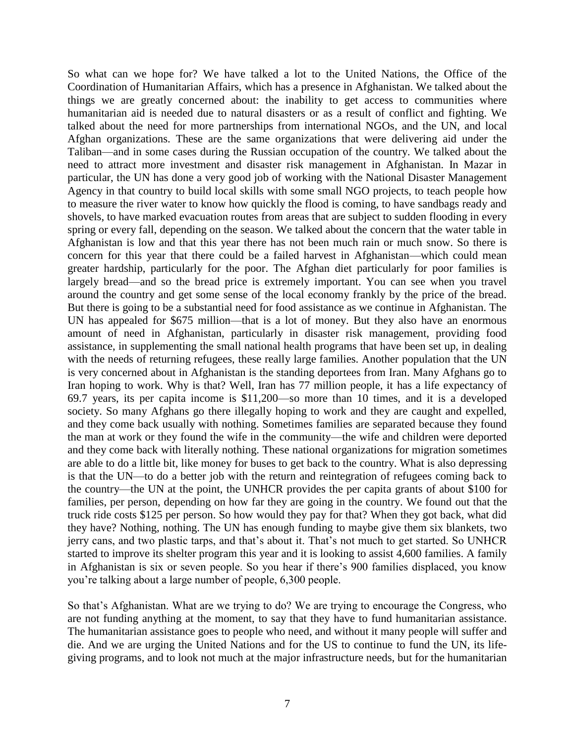So what can we hope for? We have talked a lot to the United Nations, the Office of the Coordination of Humanitarian Affairs, which has a presence in Afghanistan. We talked about the things we are greatly concerned about: the inability to get access to communities where humanitarian aid is needed due to natural disasters or as a result of conflict and fighting. We talked about the need for more partnerships from international NGOs, and the UN, and local Afghan organizations. These are the same organizations that were delivering aid under the Taliban—and in some cases during the Russian occupation of the country. We talked about the need to attract more investment and disaster risk management in Afghanistan. In Mazar in particular, the UN has done a very good job of working with the National Disaster Management Agency in that country to build local skills with some small NGO projects, to teach people how to measure the river water to know how quickly the flood is coming, to have sandbags ready and shovels, to have marked evacuation routes from areas that are subject to sudden flooding in every spring or every fall, depending on the season. We talked about the concern that the water table in Afghanistan is low and that this year there has not been much rain or much snow. So there is concern for this year that there could be a failed harvest in Afghanistan—which could mean greater hardship, particularly for the poor. The Afghan diet particularly for poor families is largely bread—and so the bread price is extremely important. You can see when you travel around the country and get some sense of the local economy frankly by the price of the bread. But there is going to be a substantial need for food assistance as we continue in Afghanistan. The UN has appealed for \$675 million—that is a lot of money. But they also have an enormous amount of need in Afghanistan, particularly in disaster risk management, providing food assistance, in supplementing the small national health programs that have been set up, in dealing with the needs of returning refugees, these really large families. Another population that the UN is very concerned about in Afghanistan is the standing deportees from Iran. Many Afghans go to Iran hoping to work. Why is that? Well, Iran has 77 million people, it has a life expectancy of 69.7 years, its per capita income is \$11,200—so more than 10 times, and it is a developed society. So many Afghans go there illegally hoping to work and they are caught and expelled, and they come back usually with nothing. Sometimes families are separated because they found the man at work or they found the wife in the community—the wife and children were deported and they come back with literally nothing. These national organizations for migration sometimes are able to do a little bit, like money for buses to get back to the country. What is also depressing is that the UN—to do a better job with the return and reintegration of refugees coming back to the country—the UN at the point, the UNHCR provides the per capita grants of about \$100 for families, per person, depending on how far they are going in the country. We found out that the truck ride costs \$125 per person. So how would they pay for that? When they got back, what did they have? Nothing, nothing. The UN has enough funding to maybe give them six blankets, two jerry cans, and two plastic tarps, and that's about it. That's not much to get started. So UNHCR started to improve its shelter program this year and it is looking to assist 4,600 families. A family in Afghanistan is six or seven people. So you hear if there's 900 families displaced, you know you're talking about a large number of people, 6,300 people.

So that's Afghanistan. What are we trying to do? We are trying to encourage the Congress, who are not funding anything at the moment, to say that they have to fund humanitarian assistance. The humanitarian assistance goes to people who need, and without it many people will suffer and die. And we are urging the United Nations and for the US to continue to fund the UN, its lifegiving programs, and to look not much at the major infrastructure needs, but for the humanitarian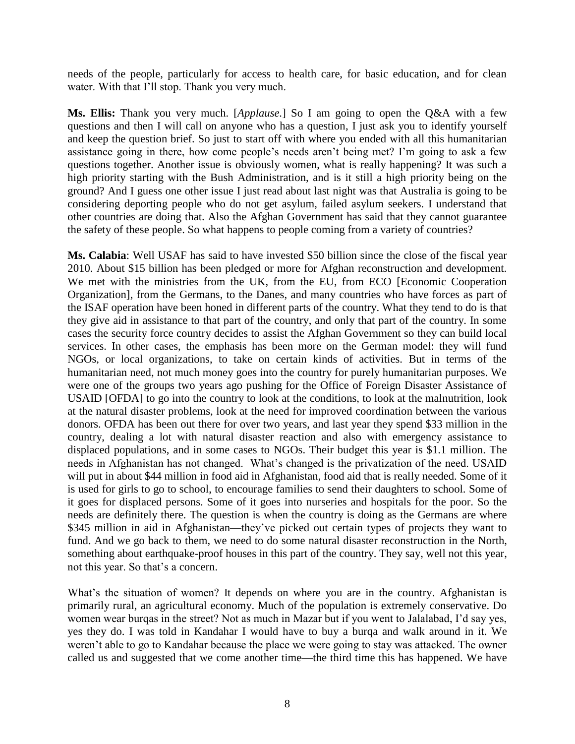needs of the people, particularly for access to health care, for basic education, and for clean water. With that I'll stop. Thank you very much.

**Ms. Ellis:** Thank you very much. [*Applause.*] So I am going to open the Q&A with a few questions and then I will call on anyone who has a question, I just ask you to identify yourself and keep the question brief. So just to start off with where you ended with all this humanitarian assistance going in there, how come people's needs aren't being met? I'm going to ask a few questions together. Another issue is obviously women, what is really happening? It was such a high priority starting with the Bush Administration, and is it still a high priority being on the ground? And I guess one other issue I just read about last night was that Australia is going to be considering deporting people who do not get asylum, failed asylum seekers. I understand that other countries are doing that. Also the Afghan Government has said that they cannot guarantee the safety of these people. So what happens to people coming from a variety of countries?

**Ms. Calabia**: Well USAF has said to have invested \$50 billion since the close of the fiscal year 2010. About \$15 billion has been pledged or more for Afghan reconstruction and development. We met with the ministries from the UK, from the EU, from ECO [Economic Cooperation Organization], from the Germans, to the Danes, and many countries who have forces as part of the ISAF operation have been honed in different parts of the country. What they tend to do is that they give aid in assistance to that part of the country, and only that part of the country. In some cases the security force country decides to assist the Afghan Government so they can build local services. In other cases, the emphasis has been more on the German model: they will fund NGOs, or local organizations, to take on certain kinds of activities. But in terms of the humanitarian need, not much money goes into the country for purely humanitarian purposes. We were one of the groups two years ago pushing for the Office of Foreign Disaster Assistance of USAID [OFDA] to go into the country to look at the conditions, to look at the malnutrition, look at the natural disaster problems, look at the need for improved coordination between the various donors. OFDA has been out there for over two years, and last year they spend \$33 million in the country, dealing a lot with natural disaster reaction and also with emergency assistance to displaced populations, and in some cases to NGOs. Their budget this year is \$1.1 million. The needs in Afghanistan has not changed. What's changed is the privatization of the need. USAID will put in about \$44 million in food aid in Afghanistan, food aid that is really needed. Some of it is used for girls to go to school, to encourage families to send their daughters to school. Some of it goes for displaced persons. Some of it goes into nurseries and hospitals for the poor. So the needs are definitely there. The question is when the country is doing as the Germans are where \$345 million in aid in Afghanistan—they've picked out certain types of projects they want to fund. And we go back to them, we need to do some natural disaster reconstruction in the North, something about earthquake-proof houses in this part of the country. They say, well not this year, not this year. So that's a concern.

What's the situation of women? It depends on where you are in the country. Afghanistan is primarily rural, an agricultural economy. Much of the population is extremely conservative. Do women wear burqas in the street? Not as much in Mazar but if you went to Jalalabad, I'd say yes, yes they do. I was told in Kandahar I would have to buy a burqa and walk around in it. We weren't able to go to Kandahar because the place we were going to stay was attacked. The owner called us and suggested that we come another time—the third time this has happened. We have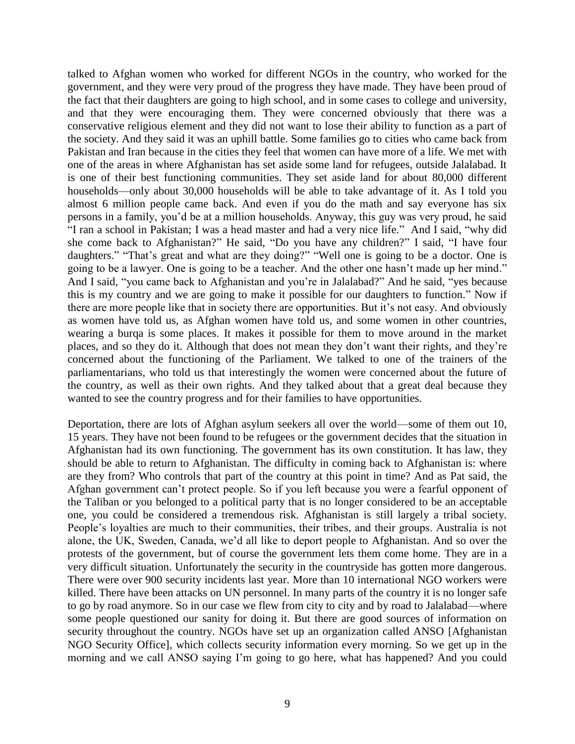talked to Afghan women who worked for different NGOs in the country, who worked for the government, and they were very proud of the progress they have made. They have been proud of the fact that their daughters are going to high school, and in some cases to college and university, and that they were encouraging them. They were concerned obviously that there was a conservative religious element and they did not want to lose their ability to function as a part of the society. And they said it was an uphill battle. Some families go to cities who came back from Pakistan and Iran because in the cities they feel that women can have more of a life. We met with one of the areas in where Afghanistan has set aside some land for refugees, outside Jalalabad. It is one of their best functioning communities. They set aside land for about 80,000 different households—only about 30,000 households will be able to take advantage of it. As I told you almost 6 million people came back. And even if you do the math and say everyone has six persons in a family, you'd be at a million households. Anyway, this guy was very proud, he said "I ran a school in Pakistan; I was a head master and had a very nice life." And I said, "why did she come back to Afghanistan?" He said, "Do you have any children?" I said, "I have four daughters." "That's great and what are they doing?" "Well one is going to be a doctor. One is going to be a lawyer. One is going to be a teacher. And the other one hasn't made up her mind." And I said, "you came back to Afghanistan and you're in Jalalabad?" And he said, "yes because this is my country and we are going to make it possible for our daughters to function." Now if there are more people like that in society there are opportunities. But it's not easy. And obviously as women have told us, as Afghan women have told us, and some women in other countries, wearing a burqa is some places. It makes it possible for them to move around in the market places, and so they do it. Although that does not mean they don't want their rights, and they're concerned about the functioning of the Parliament. We talked to one of the trainers of the parliamentarians, who told us that interestingly the women were concerned about the future of the country, as well as their own rights. And they talked about that a great deal because they wanted to see the country progress and for their families to have opportunities.

Deportation, there are lots of Afghan asylum seekers all over the world—some of them out 10, 15 years. They have not been found to be refugees or the government decides that the situation in Afghanistan had its own functioning. The government has its own constitution. It has law, they should be able to return to Afghanistan. The difficulty in coming back to Afghanistan is: where are they from? Who controls that part of the country at this point in time? And as Pat said, the Afghan government can't protect people. So if you left because you were a fearful opponent of the Taliban or you belonged to a political party that is no longer considered to be an acceptable one, you could be considered a tremendous risk. Afghanistan is still largely a tribal society. People's loyalties are much to their communities, their tribes, and their groups. Australia is not alone, the UK, Sweden, Canada, we'd all like to deport people to Afghanistan. And so over the protests of the government, but of course the government lets them come home. They are in a very difficult situation. Unfortunately the security in the countryside has gotten more dangerous. There were over 900 security incidents last year. More than 10 international NGO workers were killed. There have been attacks on UN personnel. In many parts of the country it is no longer safe to go by road anymore. So in our case we flew from city to city and by road to Jalalabad—where some people questioned our sanity for doing it. But there are good sources of information on security throughout the country. NGOs have set up an organization called ANSO [Afghanistan] NGO Security Office], which collects security information every morning. So we get up in the morning and we call ANSO saying I'm going to go here, what has happened? And you could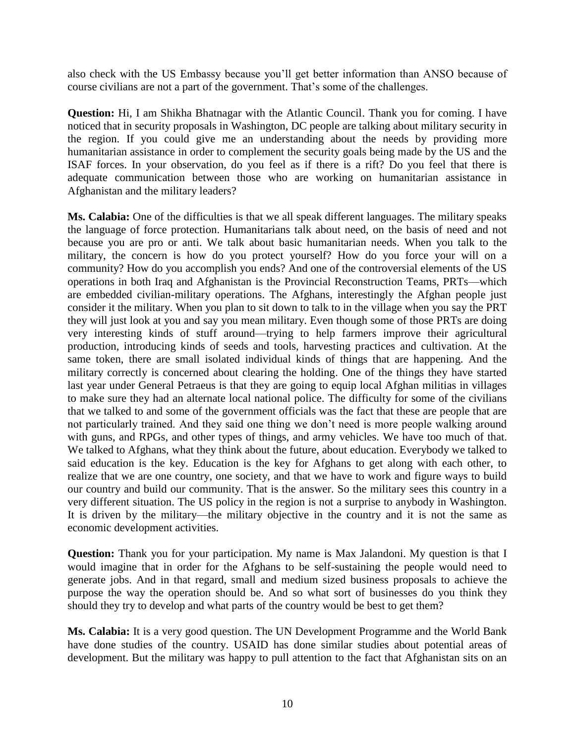also check with the US Embassy because you'll get better information than ANSO because of course civilians are not a part of the government. That's some of the challenges.

**Question:** Hi, I am Shikha Bhatnagar with the Atlantic Council. Thank you for coming. I have noticed that in security proposals in Washington, DC people are talking about military security in the region. If you could give me an understanding about the needs by providing more humanitarian assistance in order to complement the security goals being made by the US and the ISAF forces. In your observation, do you feel as if there is a rift? Do you feel that there is adequate communication between those who are working on humanitarian assistance in Afghanistan and the military leaders?

**Ms. Calabia:** One of the difficulties is that we all speak different languages. The military speaks the language of force protection. Humanitarians talk about need, on the basis of need and not because you are pro or anti. We talk about basic humanitarian needs. When you talk to the military, the concern is how do you protect yourself? How do you force your will on a community? How do you accomplish you ends? And one of the controversial elements of the US operations in both Iraq and Afghanistan is the Provincial Reconstruction Teams, PRTs—which are embedded civilian-military operations. The Afghans, interestingly the Afghan people just consider it the military. When you plan to sit down to talk to in the village when you say the PRT they will just look at you and say you mean military. Even though some of those PRTs are doing very interesting kinds of stuff around—trying to help farmers improve their agricultural production, introducing kinds of seeds and tools, harvesting practices and cultivation. At the same token, there are small isolated individual kinds of things that are happening. And the military correctly is concerned about clearing the holding. One of the things they have started last year under General Petraeus is that they are going to equip local Afghan militias in villages to make sure they had an alternate local national police. The difficulty for some of the civilians that we talked to and some of the government officials was the fact that these are people that are not particularly trained. And they said one thing we don't need is more people walking around with guns, and RPGs, and other types of things, and army vehicles. We have too much of that. We talked to Afghans, what they think about the future, about education. Everybody we talked to said education is the key. Education is the key for Afghans to get along with each other, to realize that we are one country, one society, and that we have to work and figure ways to build our country and build our community. That is the answer. So the military sees this country in a very different situation. The US policy in the region is not a surprise to anybody in Washington. It is driven by the military—the military objective in the country and it is not the same as economic development activities.

**Question:** Thank you for your participation. My name is Max Jalandoni. My question is that I would imagine that in order for the Afghans to be self-sustaining the people would need to generate jobs. And in that regard, small and medium sized business proposals to achieve the purpose the way the operation should be. And so what sort of businesses do you think they should they try to develop and what parts of the country would be best to get them?

**Ms. Calabia:** It is a very good question. The UN Development Programme and the World Bank have done studies of the country. USAID has done similar studies about potential areas of development. But the military was happy to pull attention to the fact that Afghanistan sits on an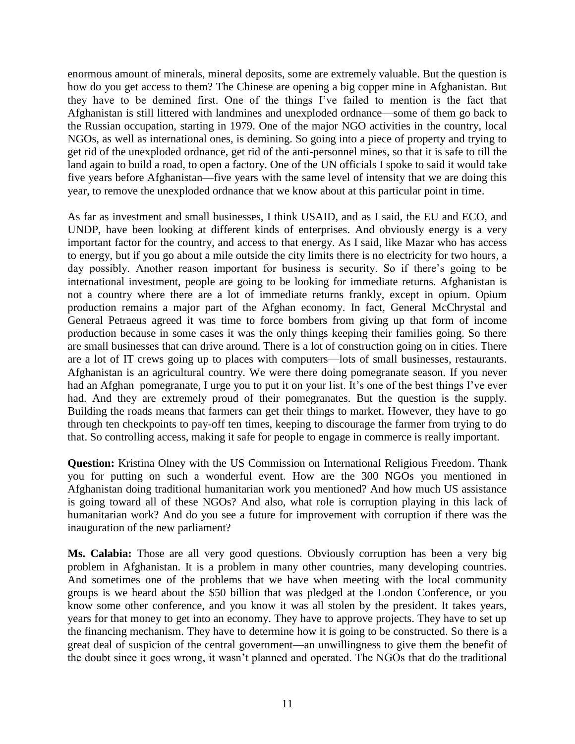enormous amount of minerals, mineral deposits, some are extremely valuable. But the question is how do you get access to them? The Chinese are opening a big copper mine in Afghanistan. But they have to be demined first. One of the things I've failed to mention is the fact that Afghanistan is still littered with landmines and unexploded ordnance—some of them go back to the Russian occupation, starting in 1979. One of the major NGO activities in the country, local NGOs, as well as international ones, is demining. So going into a piece of property and trying to get rid of the unexploded ordnance, get rid of the anti-personnel mines, so that it is safe to till the land again to build a road, to open a factory. One of the UN officials I spoke to said it would take five years before Afghanistan—five years with the same level of intensity that we are doing this year, to remove the unexploded ordnance that we know about at this particular point in time.

As far as investment and small businesses, I think USAID, and as I said, the EU and ECO, and UNDP, have been looking at different kinds of enterprises. And obviously energy is a very important factor for the country, and access to that energy. As I said, like Mazar who has access to energy, but if you go about a mile outside the city limits there is no electricity for two hours, a day possibly. Another reason important for business is security. So if there's going to be international investment, people are going to be looking for immediate returns. Afghanistan is not a country where there are a lot of immediate returns frankly, except in opium. Opium production remains a major part of the Afghan economy. In fact, General McChrystal and General Petraeus agreed it was time to force bombers from giving up that form of income production because in some cases it was the only things keeping their families going. So there are small businesses that can drive around. There is a lot of construction going on in cities. There are a lot of IT crews going up to places with computers—lots of small businesses, restaurants. Afghanistan is an agricultural country. We were there doing pomegranate season. If you never had an Afghan pomegranate, I urge you to put it on your list. It's one of the best things I've ever had. And they are extremely proud of their pomegranates. But the question is the supply. Building the roads means that farmers can get their things to market. However, they have to go through ten checkpoints to pay-off ten times, keeping to discourage the farmer from trying to do that. So controlling access, making it safe for people to engage in commerce is really important.

**Question:** Kristina Olney with the US Commission on International Religious Freedom. Thank you for putting on such a wonderful event. How are the 300 NGOs you mentioned in Afghanistan doing traditional humanitarian work you mentioned? And how much US assistance is going toward all of these NGOs? And also, what role is corruption playing in this lack of humanitarian work? And do you see a future for improvement with corruption if there was the inauguration of the new parliament?

**Ms. Calabia:** Those are all very good questions. Obviously corruption has been a very big problem in Afghanistan. It is a problem in many other countries, many developing countries. And sometimes one of the problems that we have when meeting with the local community groups is we heard about the \$50 billion that was pledged at the London Conference, or you know some other conference, and you know it was all stolen by the president. It takes years, years for that money to get into an economy. They have to approve projects. They have to set up the financing mechanism. They have to determine how it is going to be constructed. So there is a great deal of suspicion of the central government—an unwillingness to give them the benefit of the doubt since it goes wrong, it wasn't planned and operated. The NGOs that do the traditional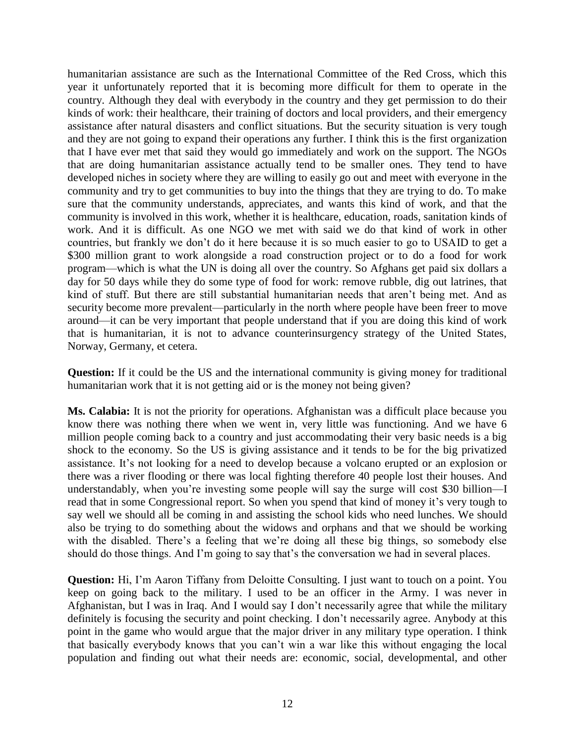humanitarian assistance are such as the International Committee of the Red Cross, which this year it unfortunately reported that it is becoming more difficult for them to operate in the country. Although they deal with everybody in the country and they get permission to do their kinds of work: their healthcare, their training of doctors and local providers, and their emergency assistance after natural disasters and conflict situations. But the security situation is very tough and they are not going to expand their operations any further. I think this is the first organization that I have ever met that said they would go immediately and work on the support. The NGOs that are doing humanitarian assistance actually tend to be smaller ones. They tend to have developed niches in society where they are willing to easily go out and meet with everyone in the community and try to get communities to buy into the things that they are trying to do. To make sure that the community understands, appreciates, and wants this kind of work, and that the community is involved in this work, whether it is healthcare, education, roads, sanitation kinds of work. And it is difficult. As one NGO we met with said we do that kind of work in other countries, but frankly we don't do it here because it is so much easier to go to USAID to get a \$300 million grant to work alongside a road construction project or to do a food for work program—which is what the UN is doing all over the country. So Afghans get paid six dollars a day for 50 days while they do some type of food for work: remove rubble, dig out latrines, that kind of stuff. But there are still substantial humanitarian needs that aren't being met. And as security become more prevalent—particularly in the north where people have been freer to move around—it can be very important that people understand that if you are doing this kind of work that is humanitarian, it is not to advance counterinsurgency strategy of the United States, Norway, Germany, et cetera.

**Question:** If it could be the US and the international community is giving money for traditional humanitarian work that it is not getting aid or is the money not being given?

**Ms. Calabia:** It is not the priority for operations. Afghanistan was a difficult place because you know there was nothing there when we went in, very little was functioning. And we have 6 million people coming back to a country and just accommodating their very basic needs is a big shock to the economy. So the US is giving assistance and it tends to be for the big privatized assistance. It's not looking for a need to develop because a volcano erupted or an explosion or there was a river flooding or there was local fighting therefore 40 people lost their houses. And understandably, when you're investing some people will say the surge will cost \$30 billion—I read that in some Congressional report. So when you spend that kind of money it's very tough to say well we should all be coming in and assisting the school kids who need lunches. We should also be trying to do something about the widows and orphans and that we should be working with the disabled. There's a feeling that we're doing all these big things, so somebody else should do those things. And I'm going to say that's the conversation we had in several places.

**Question:** Hi, I'm Aaron Tiffany from Deloitte Consulting. I just want to touch on a point. You keep on going back to the military. I used to be an officer in the Army. I was never in Afghanistan, but I was in Iraq. And I would say I don't necessarily agree that while the military definitely is focusing the security and point checking. I don't necessarily agree. Anybody at this point in the game who would argue that the major driver in any military type operation. I think that basically everybody knows that you can't win a war like this without engaging the local population and finding out what their needs are: economic, social, developmental, and other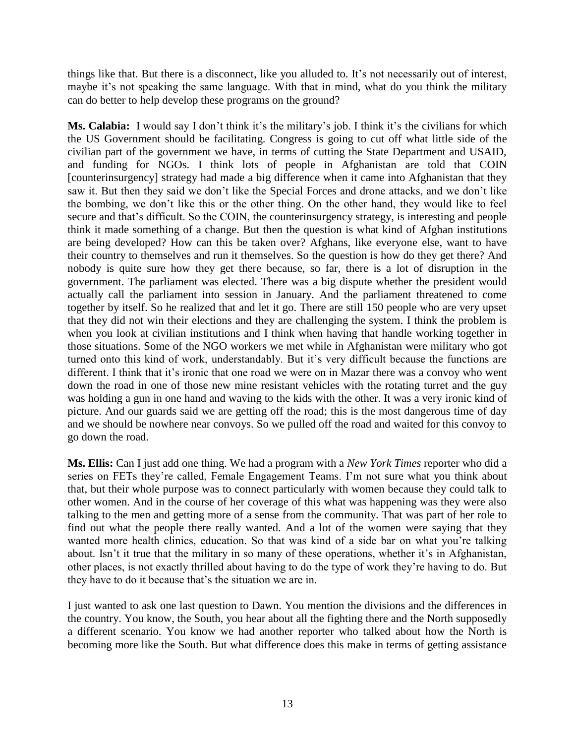things like that. But there is a disconnect, like you alluded to. It's not necessarily out of interest, maybe it's not speaking the same language. With that in mind, what do you think the military can do better to help develop these programs on the ground?

**Ms. Calabia:** I would say I don't think it's the military's job. I think it's the civilians for which the US Government should be facilitating. Congress is going to cut off what little side of the civilian part of the government we have, in terms of cutting the State Department and USAID, and funding for NGOs. I think lots of people in Afghanistan are told that COIN [counterinsurgency] strategy had made a big difference when it came into Afghanistan that they saw it. But then they said we don't like the Special Forces and drone attacks, and we don't like the bombing, we don't like this or the other thing. On the other hand, they would like to feel secure and that's difficult. So the COIN, the counterinsurgency strategy, is interesting and people think it made something of a change. But then the question is what kind of Afghan institutions are being developed? How can this be taken over? Afghans, like everyone else, want to have their country to themselves and run it themselves. So the question is how do they get there? And nobody is quite sure how they get there because, so far, there is a lot of disruption in the government. The parliament was elected. There was a big dispute whether the president would actually call the parliament into session in January. And the parliament threatened to come together by itself. So he realized that and let it go. There are still 150 people who are very upset that they did not win their elections and they are challenging the system. I think the problem is when you look at civilian institutions and I think when having that handle working together in those situations. Some of the NGO workers we met while in Afghanistan were military who got turned onto this kind of work, understandably. But it's very difficult because the functions are different. I think that it's ironic that one road we were on in Mazar there was a convoy who went down the road in one of those new mine resistant vehicles with the rotating turret and the guy was holding a gun in one hand and waving to the kids with the other. It was a very ironic kind of picture. And our guards said we are getting off the road; this is the most dangerous time of day and we should be nowhere near convoys. So we pulled off the road and waited for this convoy to go down the road.

**Ms. Ellis:** Can I just add one thing. We had a program with a *New York Times* reporter who did a series on FETs they're called, Female Engagement Teams. I'm not sure what you think about that, but their whole purpose was to connect particularly with women because they could talk to other women. And in the course of her coverage of this what was happening was they were also talking to the men and getting more of a sense from the community. That was part of her role to find out what the people there really wanted. And a lot of the women were saying that they wanted more health clinics, education. So that was kind of a side bar on what you're talking about. Isn't it true that the military in so many of these operations, whether it's in Afghanistan, other places, is not exactly thrilled about having to do the type of work they're having to do. But they have to do it because that's the situation we are in.

I just wanted to ask one last question to Dawn. You mention the divisions and the differences in the country. You know, the South, you hear about all the fighting there and the North supposedly a different scenario. You know we had another reporter who talked about how the North is becoming more like the South. But what difference does this make in terms of getting assistance